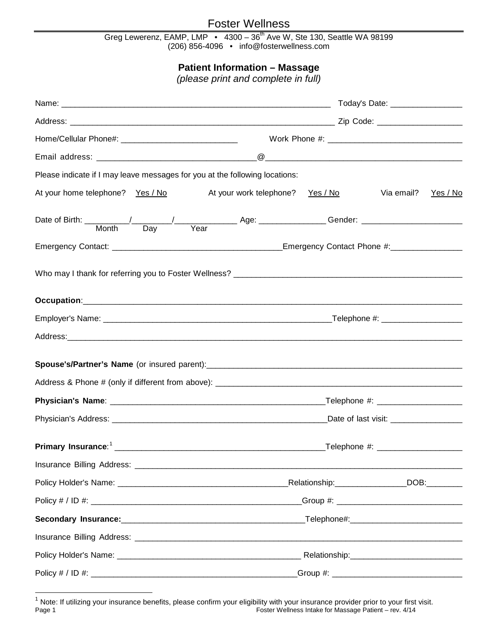# Foster Wellness

Greg Lewerenz, EAMP, LMP  $\;\bullet\;\;$  4300 – 36<sup>th</sup> Ave W, Ste 130, Seattle WA 98199 (206) 856-4096 • info@fosterwellness.com

## **Patient Information – Massage**

*(please print and complete in full)*

|                                                                             | Today's Date: __________________ |                 |                                        |                 |
|-----------------------------------------------------------------------------|----------------------------------|-----------------|----------------------------------------|-----------------|
|                                                                             |                                  |                 |                                        |                 |
|                                                                             |                                  |                 |                                        |                 |
|                                                                             |                                  |                 |                                        |                 |
| Please indicate if I may leave messages for you at the following locations: |                                  |                 |                                        |                 |
| At your home telephone? Yes / No                                            | At your work telephone?          | <u>Yes / No</u> | Via email?                             | <u>Yes / No</u> |
|                                                                             |                                  |                 |                                        |                 |
|                                                                             |                                  |                 |                                        |                 |
|                                                                             |                                  |                 |                                        |                 |
|                                                                             |                                  |                 |                                        |                 |
|                                                                             |                                  |                 |                                        |                 |
|                                                                             |                                  |                 |                                        |                 |
|                                                                             |                                  |                 |                                        |                 |
|                                                                             |                                  |                 |                                        |                 |
|                                                                             |                                  |                 |                                        |                 |
|                                                                             |                                  |                 | Date of last visit: __________________ |                 |
|                                                                             |                                  |                 |                                        |                 |
|                                                                             |                                  |                 |                                        |                 |
|                                                                             |                                  |                 |                                        |                 |
|                                                                             |                                  |                 |                                        |                 |
|                                                                             |                                  |                 |                                        |                 |
|                                                                             |                                  |                 |                                        |                 |
|                                                                             |                                  |                 |                                        |                 |
|                                                                             |                                  |                 |                                        |                 |

 $\overline{a}$ 

<span id="page-0-0"></span> $1$  Note: If utilizing your insurance benefits, please confirm your eligibility with your insurance provider prior to your first visit. Page 1 **Foster Wellness Intake for Massage Patient – rev.** 4/14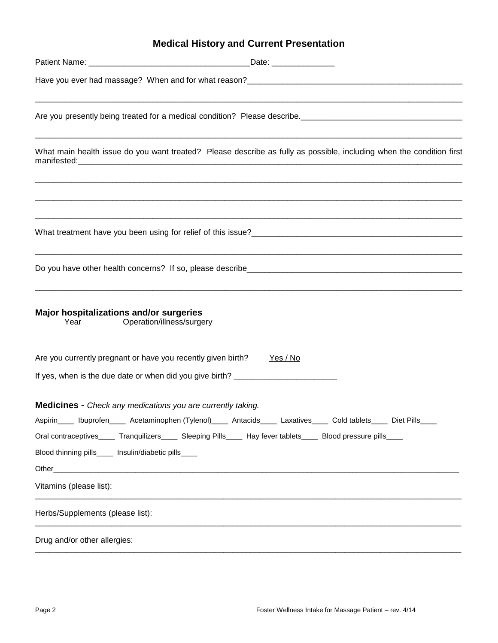# **Medical History and Current Presentation**

|                                                                           | Have you ever had massage? When and for what reason? <b>Face and the same of the same of the same of the same of the same of the same of the same of the same of the same of the same of the same of the same of the same of the</b>                                                                                                                                                           |
|---------------------------------------------------------------------------|------------------------------------------------------------------------------------------------------------------------------------------------------------------------------------------------------------------------------------------------------------------------------------------------------------------------------------------------------------------------------------------------|
|                                                                           |                                                                                                                                                                                                                                                                                                                                                                                                |
|                                                                           | What main health issue do you want treated? Please describe as fully as possible, including when the condition first                                                                                                                                                                                                                                                                           |
|                                                                           | What treatment have you been using for relief of this issue?<br>This issue of this issue of the substitution of the state of the state of this issue?                                                                                                                                                                                                                                          |
|                                                                           | Do you have other health concerns? If so, please describe expression and the property of the state of the state of the state of the state of the state of the state of the state of the state of the state of the state of the                                                                                                                                                                 |
| Year                                                                      | Major hospitalizations and/or surgeries<br>Operation/illness/surgery                                                                                                                                                                                                                                                                                                                           |
|                                                                           | Are you currently pregnant or have you recently given birth?<br>Yes / No<br>If yes, when is the due date or when did you give birth? _______________________                                                                                                                                                                                                                                   |
| Blood thinning pills____ Insulin/diabetic pills____<br>Other <sub>1</sub> | <b>Medicines</b> - Check any medications you are currently taking.<br>Aspirin_____ Ibuprofen_____ Acetaminophen (Tylenol)_____ Antacids_____ Laxatives_____ Cold tablets_____ Diet Pills_<br>Oral contraceptives_____ Tranquilizers_____ Sleeping Pills____ Hay fever tablets____ Blood pressure pills____<br>,我们也不能在这里,我们也不能在这里的时候,我们也不能会不能会不能会不能会不能会不能会不能会。""我们的人们,我们也不能会不能会不能会不能会不能会不能会不能会不 |
| Vitamins (please list):                                                   |                                                                                                                                                                                                                                                                                                                                                                                                |
| Herbs/Supplements (please list):                                          |                                                                                                                                                                                                                                                                                                                                                                                                |
| Drug and/or other allergies:                                              |                                                                                                                                                                                                                                                                                                                                                                                                |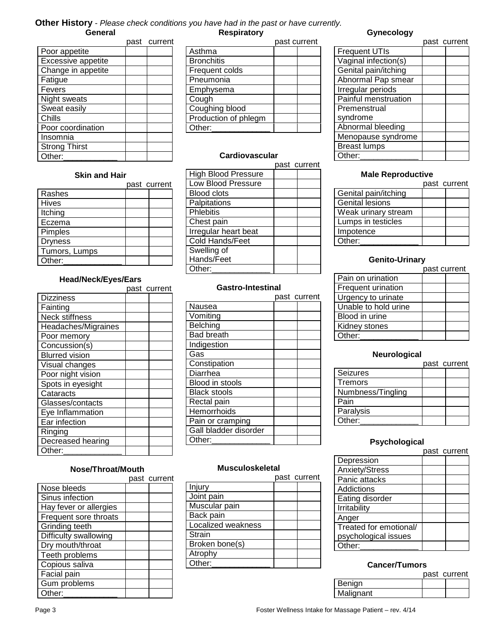#### **Other History** - *Please check conditions you have had in the past or have currently.* **General Respiratory**

|                      | past current |
|----------------------|--------------|
| Poor appetite        |              |
| Excessive appetite   |              |
| Change in appetite   |              |
| Fatigue              |              |
| Fevers               |              |
| Night sweats         |              |
| Sweat easily         |              |
| Chills               |              |
| Poor coordination    |              |
| Insomnia             |              |
| <b>Strong Thirst</b> |              |
| Other:               |              |

**Skin and Hair**

Rashes **Hives Itching** Eczema Pimples **Dryness** 

Other:

Tumors, Lumps

past current

|                      | past current |  |
|----------------------|--------------|--|
| Asthma               |              |  |
| <b>Bronchitis</b>    |              |  |
| Frequent colds       |              |  |
| Pneumonia            |              |  |
| Emphysema            |              |  |
| Cough                |              |  |
| Coughing blood       |              |  |
| Production of phlegm |              |  |
| Other:               |              |  |

#### **Cardiovascular**

|                            | past current |
|----------------------------|--------------|
| <b>High Blood Pressure</b> |              |
| <b>Low Blood Pressure</b>  |              |
| <b>Blood clots</b>         |              |
| Palpitations               |              |
| <b>Phlebitis</b>           |              |
| Chest pain                 |              |
| Irregular heart beat       |              |
| Cold Hands/Feet            |              |
| Swelling of                |              |
| Hands/Feet                 |              |
| Other:                     |              |

#### **Head/Neck/Eyes/Ears**

|                       | past current |
|-----------------------|--------------|
| <b>Dizziness</b>      |              |
| Fainting              |              |
| Neck stiffness        |              |
| Headaches/Migraines   |              |
| Poor memory           |              |
| Concussion(s)         |              |
| <b>Blurred vision</b> |              |
| Visual changes        |              |
| Poor night vision     |              |
| Spots in eyesight     |              |
| Cataracts             |              |
| Glasses/contacts      |              |
| Eye Inflammation      |              |
| Ear infection         |              |
| Ringing               |              |
| Decreased hearing     |              |
| )ther:                |              |

#### **Nose/Throat/Mouth**

|                        | past current |
|------------------------|--------------|
| Nose bleeds            |              |
| Sinus infection        |              |
| Hay fever or allergies |              |
| Frequent sore throats  |              |
| Grinding teeth         |              |
| Difficulty swallowing  |              |
| Dry mouth/throat       |              |
| Teeth problems         |              |
| Copious saliva         |              |
| Facial pain            |              |
| Gum problems           |              |
| Dther:                 |              |

# **Gastro-Intestinal**

|                       | past current |
|-----------------------|--------------|
| Nausea                |              |
| Vomiting              |              |
| Belching              |              |
| <b>Bad breath</b>     |              |
| Indigestion           |              |
| Gas                   |              |
| Constipation          |              |
| Diarrhea              |              |
| Blood in stools       |              |
| <b>Black stools</b>   |              |
| Rectal pain           |              |
| Hemorrhoids           |              |
| Pain or cramping      |              |
| Gall bladder disorder |              |
| Other:                |              |

#### **Musculoskeletal**

|                    | past current |
|--------------------|--------------|
| Injury             |              |
| Joint pain         |              |
| Muscular pain      |              |
| Back pain          |              |
| Localized weakness |              |
| Strain             |              |
| Broken bone(s)     |              |
| Atrophy            |              |
| Other:             |              |
|                    |              |

#### **Gynecology**

|                      | past current |
|----------------------|--------------|
| <b>Frequent UTIs</b> |              |
| Vaginal infection(s) |              |
| Genital pain/itching |              |
| Abnormal Pap smear   |              |
| Irregular periods    |              |
| Painful menstruation |              |
| Premenstrual         |              |
| syndrome             |              |
| Abnormal bleeding    |              |
| Menopause syndrome   |              |
| <b>Breast lumps</b>  |              |
| Other:               |              |

#### **Male Reproductive**

|                      | past current |
|----------------------|--------------|
| Genital pain/itching |              |
| Genital lesions      |              |
| Weak urinary stream  |              |
| Lumps in testicles   |              |
| Impotence            |              |
| Other:               |              |

#### **Genito-Urinary**

|                      | past current |  |
|----------------------|--------------|--|
| Pain on urination    |              |  |
| Frequent urination   |              |  |
| Urgency to urinate   |              |  |
| Unable to hold urine |              |  |
| Blood in urine       |              |  |
| Kidney stones        |              |  |
| Other:               |              |  |
|                      |              |  |

#### **Neurological**

|                   | past current |
|-------------------|--------------|
| Seizures          |              |
| Tremors           |              |
| Numbness/Tingling |              |
| Pain              |              |
| Paralysis         |              |
| Other:            |              |

#### **Psychological**

|                        | past current |
|------------------------|--------------|
| Depression             |              |
| Anxiety/Stress         |              |
| Panic attacks          |              |
| Addictions             |              |
| Eating disorder        |              |
| Irritability           |              |
| Anger                  |              |
| Treated for emotional/ |              |
| psychological issues   |              |
| Other:                 |              |

#### **Cancer/Tumors**

|           | past current |
|-----------|--------------|
| Benign    |              |
| Malignant |              |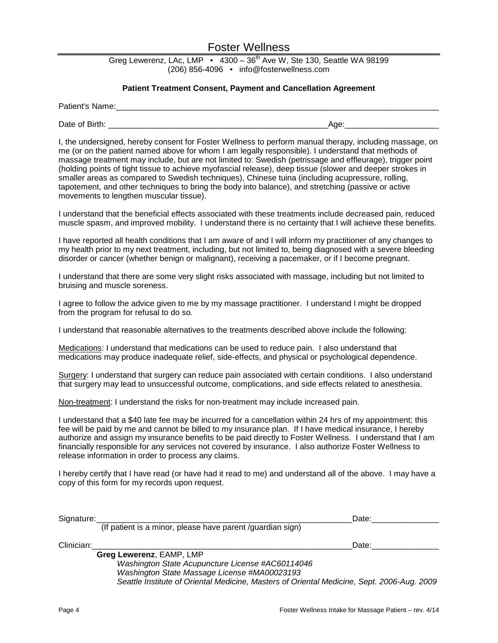### Foster Wellness

Greg Lewerenz, LAc, LMP  $\cdot$  4300 – 36<sup>th</sup> Ave W, Ste 130, Seattle WA 98199 (206) 856-4096 • info@fosterwellness.com

#### **Patient Treatment Consent, Payment and Cancellation Agreement**

Patient's Name:\_\_\_\_\_\_\_\_\_\_\_\_\_\_\_\_\_\_\_\_\_\_\_\_\_\_\_\_\_\_\_\_\_\_\_\_\_\_\_\_\_\_\_\_\_\_\_\_\_\_\_\_\_\_\_\_\_\_\_\_\_\_\_\_\_\_\_\_\_\_\_\_

Date of Birth: \_\_\_\_\_\_\_\_\_\_\_\_\_\_\_\_\_\_\_\_\_\_\_\_\_\_\_\_\_\_\_\_\_\_\_\_\_\_\_\_\_\_\_\_\_\_\_\_\_Age:\_\_\_\_\_\_\_\_\_\_\_\_\_\_\_\_\_\_\_\_\_

I, the undersigned, hereby consent for Foster Wellness to perform manual therapy, including massage, on me (or on the patient named above for whom I am legally responsible). I understand that methods of massage treatment may include, but are not limited to: Swedish (petrissage and effleurage), trigger point (holding points of tight tissue to achieve myofascial release), deep tissue (slower and deeper strokes in smaller areas as compared to Swedish techniques), Chinese tuina (including acupressure, rolling, tapotement, and other techniques to bring the body into balance), and stretching (passive or active movements to lengthen muscular tissue).

I understand that the beneficial effects associated with these treatments include decreased pain, reduced muscle spasm, and improved mobility. I understand there is no certainty that I will achieve these benefits.

I have reported all health conditions that I am aware of and I will inform my practitioner of any changes to my health prior to my next treatment, including, but not limited to, being diagnosed with a severe bleeding disorder or cancer (whether benign or malignant), receiving a pacemaker, or if I become pregnant.

I understand that there are some very slight risks associated with massage, including but not limited to bruising and muscle soreness.

I agree to follow the advice given to me by my massage practitioner. I understand I might be dropped from the program for refusal to do so.

I understand that reasonable alternatives to the treatments described above include the following:

Medications: I understand that medications can be used to reduce pain. I also understand that medications may produce inadequate relief, side-effects, and physical or psychological dependence.

Surgery: I understand that surgery can reduce pain associated with certain conditions. I also understand that surgery may lead to unsuccessful outcome, complications, and side effects related to anesthesia.

Non-treatment: I understand the risks for non-treatment may include increased pain.

I understand that a \$40 late fee may be incurred for a cancellation within 24 hrs of my appointment; this fee will be paid by me and cannot be billed to my insurance plan. If I have medical insurance, I hereby authorize and assign my insurance benefits to be paid directly to Foster Wellness. I understand that I am financially responsible for any services not covered by insurance. I also authorize Foster Wellness to release information in order to process any claims.

I hereby certify that I have read (or have had it read to me) and understand all of the above. I may have a copy of this form for my records upon request.

Signature:\_\_\_\_\_\_\_\_\_\_\_\_\_\_\_\_\_\_\_\_\_\_\_\_\_\_\_\_\_\_\_\_\_\_\_\_\_\_\_\_\_\_\_\_\_\_\_\_\_\_\_\_\_\_\_\_\_Date:\_\_\_\_\_\_\_\_\_\_\_\_\_\_\_ (If patient is a minor, please have parent /guardian sign) Clinician: Contract the contract of the contract of the contract of the contract of the contract of the contract of the contract of the contract of the contract of the contract of the contract of the contract of the contra **Greg Lewerenz**, EAMP, LMP  *Washington State Acupuncture License #AC60114046 Washington State Massage License #MA00023193 Seattle Institute of Oriental Medicine, Masters of Oriental Medicine, Sept. 2006-Aug. 2009*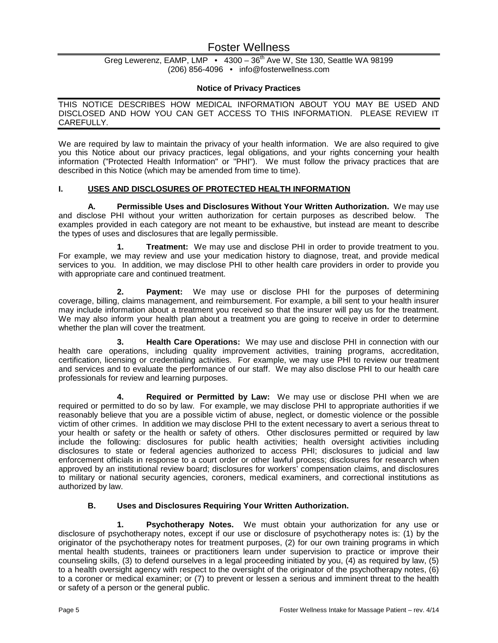# Foster Wellness

#### Greg Lewerenz, EAMP, LMP  $\cdot$  4300 – 36<sup>th</sup> Ave W, Ste 130, Seattle WA 98199 (206) 856-4096 • info@fosterwellness.com

#### **Notice of Privacy Practices**

THIS NOTICE DESCRIBES HOW MEDICAL INFORMATION ABOUT YOU MAY BE USED AND DISCLOSED AND HOW YOU CAN GET ACCESS TO THIS INFORMATION. PLEASE REVIEW IT CAREFULLY.

We are required by law to maintain the privacy of your health information. We are also required to give you this Notice about our privacy practices, legal obligations, and your rights concerning your health information ("Protected Health Information" or "PHI"). We must follow the privacy practices that are described in this Notice (which may be amended from time to time).

#### **I. USES AND DISCLOSURES OF PROTECTED HEALTH INFORMATION**

**A. Permissible Uses and Disclosures Without Your Written Authorization.** We may use and disclose PHI without your written authorization for certain purposes as described below. The examples provided in each category are not meant to be exhaustive, but instead are meant to describe the types of uses and disclosures that are legally permissible.

**1. Treatment:** We may use and disclose PHI in order to provide treatment to you. For example, we may review and use your medication history to diagnose, treat, and provide medical services to you. In addition, we may disclose PHI to other health care providers in order to provide you with appropriate care and continued treatment.

**2. Payment:** We may use or disclose PHI for the purposes of determining coverage, billing, claims management, and reimbursement. For example, a bill sent to your health insurer may include information about a treatment you received so that the insurer will pay us for the treatment. We may also inform your health plan about a treatment you are going to receive in order to determine whether the plan will cover the treatment.

**3. Health Care Operations:** We may use and disclose PHI in connection with our health care operations, including quality improvement activities, training programs, accreditation, certification, licensing or credentialing activities. For example, we may use PHI to review our treatment and services and to evaluate the performance of our staff. We may also disclose PHI to our health care professionals for review and learning purposes.

**4. Required or Permitted by Law:** We may use or disclose PHI when we are required or permitted to do so by law. For example, we may disclose PHI to appropriate authorities if we reasonably believe that you are a possible victim of abuse, neglect, or domestic violence or the possible victim of other crimes. In addition we may disclose PHI to the extent necessary to avert a serious threat to your health or safety or the health or safety of others. Other disclosures permitted or required by law include the following: disclosures for public health activities; health oversight activities including disclosures to state or federal agencies authorized to access PHI; disclosures to judicial and law enforcement officials in response to a court order or other lawful process; disclosures for research when approved by an institutional review board; disclosures for workers' compensation claims, and disclosures to military or national security agencies, coroners, medical examiners, and correctional institutions as authorized by law.

#### **B. Uses and Disclosures Requiring Your Written Authorization.**

**1. Psychotherapy Notes.** We must obtain your authorization for any use or disclosure of psychotherapy notes, except if our use or disclosure of psychotherapy notes is: (1) by the originator of the psychotherapy notes for treatment purposes, (2) for our own training programs in which mental health students, trainees or practitioners learn under supervision to practice or improve their counseling skills, (3) to defend ourselves in a legal proceeding initiated by you, (4) as required by law, (5) to a health oversight agency with respect to the oversight of the originator of the psychotherapy notes, (6) to a coroner or medical examiner; or (7) to prevent or lessen a serious and imminent threat to the health or safety of a person or the general public.